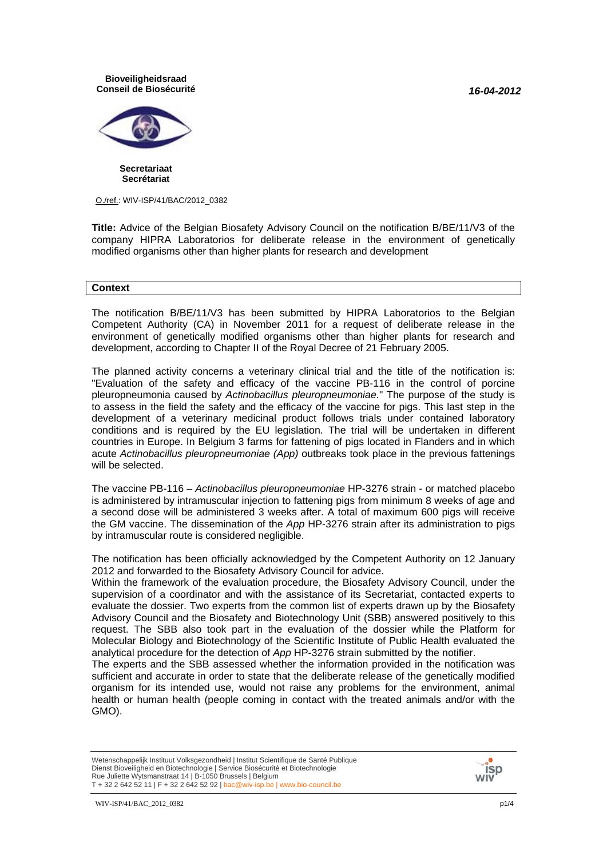*16-04-2012*

#### **Bioveiligheidsraad Conseil de Biosécurité**



**Secretariaat Secrétariat**

O./ref.: WIV-ISP/41/BAC/2012\_0382

**Title:** Advice of the Belgian Biosafety Advisory Council on the notification B/BE/11/V3 of the company HIPRA Laboratorios for deliberate release in the environment of genetically modified organisms other than higher plants for research and development

#### **Context**

The notification B/BE/11/V3 has been submitted by HIPRA Laboratorios to the Belgian Competent Authority (CA) in November 2011 for a request of deliberate release in the environment of genetically modified organisms other than higher plants for research and development, according to Chapter II of the Royal Decree of 21 February 2005.

The planned activity concerns a veterinary clinical trial and the title of the notification is: "Evaluation of the safety and efficacy of the vaccine PB-116 in the control of porcine pleuropneumonia caused by *Actinobacillus pleuropneumoniae.*" The purpose of the study is to assess in the field the safety and the efficacy of the vaccine for pigs. This last step in the development of a veterinary medicinal product follows trials under contained laboratory conditions and is required by the EU legislation. The trial will be undertaken in different countries in Europe. In Belgium 3 farms for fattening of pigs located in Flanders and in which acute *Actinobacillus pleuropneumoniae (App)* outbreaks took place in the previous fattenings will be selected.

The vaccine PB-116 – *Actinobacillus pleuropneumoniae* HP-3276 strain - or matched placebo is administered by intramuscular injection to fattening pigs from minimum 8 weeks of age and a second dose will be administered 3 weeks after. A total of maximum 600 pigs will receive the GM vaccine. The dissemination of the *App* HP-3276 strain after its administration to pigs by intramuscular route is considered negligible.

The notification has been officially acknowledged by the Competent Authority on 12 January 2012 and forwarded to the Biosafety Advisory Council for advice.

Within the framework of the evaluation procedure, the Biosafety Advisory Council, under the supervision of a coordinator and with the assistance of its Secretariat, contacted experts to evaluate the dossier. Two experts from the common list of experts drawn up by the Biosafety Advisory Council and the Biosafety and Biotechnology Unit (SBB) answered positively to this request. The SBB also took part in the evaluation of the dossier while the Platform for Molecular Biology and Biotechnology of the Scientific Institute of Public Health evaluated the analytical procedure for the detection of *App* HP-3276 strain submitted by the notifier.

The experts and the SBB assessed whether the information provided in the notification was sufficient and accurate in order to state that the deliberate release of the genetically modified organism for its intended use, would not raise any problems for the environment, animal health or human health (people coming in contact with the treated animals and/or with the GMO).

Wetenschappelijk Instituut Volksgezondheid | Institut Scientifique de Santé Publique Dienst Bioveiligheid en Biotechnologie | Service Biosécurité et Biotechnologie Rue Juliette Wytsmanstraat 14 | B-1050 Brussels | Belgium T + 32 2 642 52 11 | F + 32 2 642 52 92 | bac@wiv-isp.be | www.bio-council.be

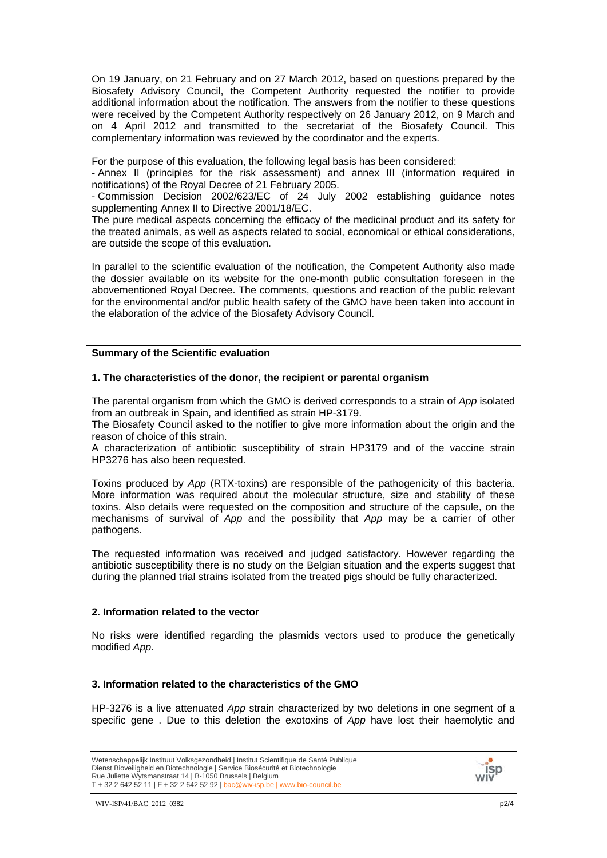On 19 January, on 21 February and on 27 March 2012, based on questions prepared by the Biosafety Advisory Council, the Competent Authority requested the notifier to provide additional information about the notification. The answers from the notifier to these questions were received by the Competent Authority respectively on 26 January 2012, on 9 March and on 4 April 2012 and transmitted to the secretariat of the Biosafety Council. This complementary information was reviewed by the coordinator and the experts.

For the purpose of this evaluation, the following legal basis has been considered:

- Annex II (principles for the risk assessment) and annex III (information required in notifications) of the Royal Decree of 21 February 2005.

- Commission Decision 2002/623/EC of 24 July 2002 establishing guidance notes supplementing Annex II to Directive 2001/18/EC.

The pure medical aspects concerning the efficacy of the medicinal product and its safety for the treated animals, as well as aspects related to social, economical or ethical considerations, are outside the scope of this evaluation.

In parallel to the scientific evaluation of the notification, the Competent Authority also made the dossier available on its website for the one-month public consultation foreseen in the abovementioned Royal Decree. The comments, questions and reaction of the public relevant for the environmental and/or public health safety of the GMO have been taken into account in the elaboration of the advice of the Biosafety Advisory Council.

#### **Summary of the Scientific evaluation**

#### **1. The characteristics of the donor, the recipient or parental organism**

The parental organism from which the GMO is derived corresponds to a strain of *App* isolated from an outbreak in Spain, and identified as strain HP-3179.

The Biosafety Council asked to the notifier to give more information about the origin and the reason of choice of this strain.

A characterization of antibiotic susceptibility of strain HP3179 and of the vaccine strain HP3276 has also been requested.

Toxins produced by *App* (RTX-toxins) are responsible of the pathogenicity of this bacteria. More information was required about the molecular structure, size and stability of these toxins. Also details were requested on the composition and structure of the capsule, on the mechanisms of survival of *App* and the possibility that *App* may be a carrier of other pathogens.

The requested information was received and judged satisfactory. However regarding the antibiotic susceptibility there is no study on the Belgian situation and the experts suggest that during the planned trial strains isolated from the treated pigs should be fully characterized.

## **2. Information related to the vector**

No risks were identified regarding the plasmids vectors used to produce the genetically modified *App*.

## **3. Information related to the characteristics of the GMO**

HP-3276 is a live attenuated *App* strain characterized by two deletions in one segment of a specific gene . Due to this deletion the exotoxins of *App* have lost their haemolytic and

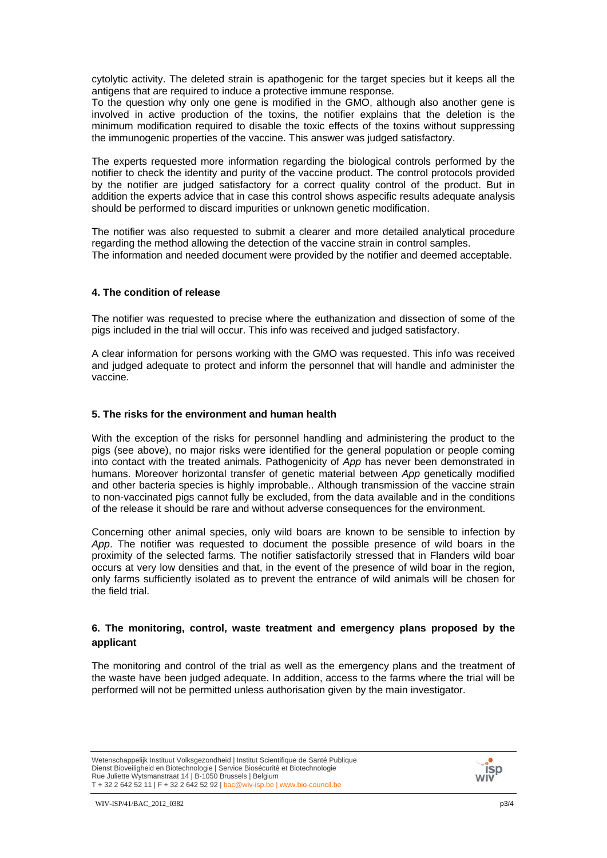cytolytic activity. The deleted strain is apathogenic for the target species but it keeps all the antigens that are required to induce a protective immune response.

To the question why only one gene is modified in the GMO, although also another gene is involved in active production of the toxins, the notifier explains that the deletion is the minimum modification required to disable the toxic effects of the toxins without suppressing the immunogenic properties of the vaccine. This answer was judged satisfactory.

The experts requested more information regarding the biological controls performed by the notifier to check the identity and purity of the vaccine product. The control protocols provided by the notifier are judged satisfactory for a correct quality control of the product. But in addition the experts advice that in case this control shows aspecific results adequate analysis should be performed to discard impurities or unknown genetic modification.

The notifier was also requested to submit a clearer and more detailed analytical procedure regarding the method allowing the detection of the vaccine strain in control samples. The information and needed document were provided by the notifier and deemed acceptable.

## **4. The condition of release**

The notifier was requested to precise where the euthanization and dissection of some of the pigs included in the trial will occur. This info was received and judged satisfactory.

A clear information for persons working with the GMO was requested. This info was received and judged adequate to protect and inform the personnel that will handle and administer the vaccine.

## **5. The risks for the environment and human health**

With the exception of the risks for personnel handling and administering the product to the pigs (see above), no major risks were identified for the general population or people coming into contact with the treated animals. Pathogenicity of *App* has never been demonstrated in humans. Moreover horizontal transfer of genetic material between *App* genetically modified and other bacteria species is highly improbable.. Although transmission of the vaccine strain to non-vaccinated pigs cannot fully be excluded, from the data available and in the conditions of the release it should be rare and without adverse consequences for the environment.

Concerning other animal species, only wild boars are known to be sensible to infection by *App*. The notifier was requested to document the possible presence of wild boars in the proximity of the selected farms. The notifier satisfactorily stressed that in Flanders wild boar occurs at very low densities and that, in the event of the presence of wild boar in the region, only farms sufficiently isolated as to prevent the entrance of wild animals will be chosen for the field trial.

## **6. The monitoring, control, waste treatment and emergency plans proposed by the applicant**

The monitoring and control of the trial as well as the emergency plans and the treatment of the waste have been judged adequate. In addition, access to the farms where the trial will be performed will not be permitted unless authorisation given by the main investigator.

Wetenschappelijk Instituut Volksgezondheid | Institut Scientifique de Santé Publique Dienst Bioveiligheid en Biotechnologie | Service Biosécurité et Biotechnologie Rue Juliette Wytsmanstraat 14 | B-1050 Brussels | Belgium T + 32 2 642 52 11 | F + 32 2 642 52 92 | bac@wiv-isp.be | www.bio-council.be

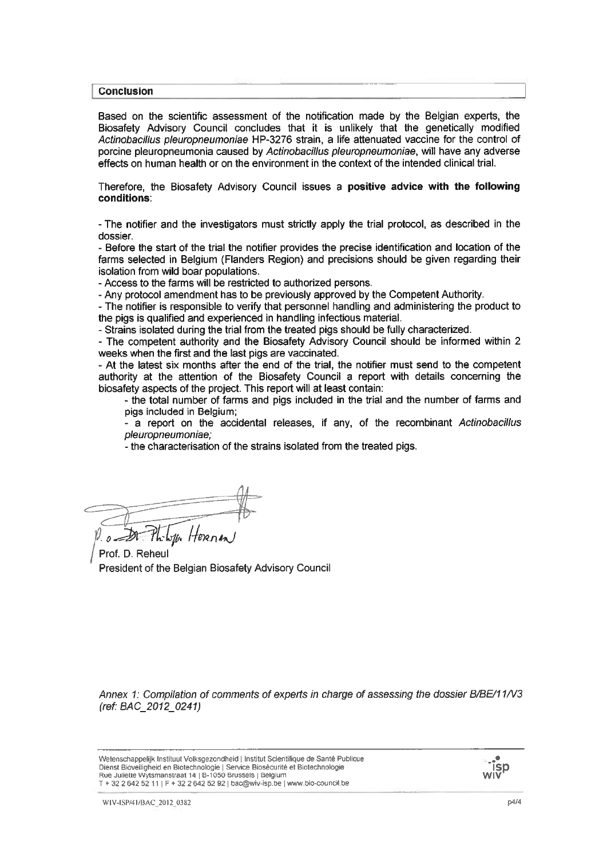#### **Conclusion**

Based on the scientific assessment of the notification made by the Belgian experts, the Biosafety Advisory Council concludes that it is unlikely that the genetically modified Actinobacillus pleuropneumoniae HP-3276 strain, a life attenuated vaccine for the control of porcine pleuropneumonia caused by Actinobacillus pleuropneumoniae, will have any adverse effects on human health or on the environment in the context of the intended clinical trial.

Therefore, the Biosafety Advisory Council issues a positive advice with the following conditions:

- The notifier and the investigators must strictly apply the trial protocol, as described in the dossier.

- Before the start of the trial the notifier provides the precise identification and location of the farms selected in Belgium (Flanders Region) and precisions should be given regarding their isolation from wild boar populations.

- Access to the farms will be restricted to authorized persons.

- Any protocol amendment has to be previously approved by the Competent Authority.

- The notifier is responsible to verify that personnel handling and administering the product to the pigs is qualified and experienced in handling infectious material.

- Strains isolated during the trial from the treated pigs should be fully characterized.

- The competent authority and the Biosafety Advisory Council should be informed within 2 weeks when the first and the last pigs are vaccinated.

- At the latest six months after the end of the trial, the notifier must send to the competent authority at the attention of the Biosafety Council a report with details concerning the biosafety aspects of the project. This report will at least contain:

- the total number of farms and pigs included in the trial and the number of farms and pigs included in Belgium;

a report on the accidental releases, if any, of the recombinant Actinobacillus pleuropneumoniae;

- the characterisation of the strains isolated from the treated pigs.

Jan Hernan

Prof. D. Reheul President of the Belgian Biosafety Advisory Council

Annex 1: Compilation of comments of experts in charge of assessing the dossier B/BE/11/V3 (ref: BAC\_2012\_0241)

Wetenschappelijk Instituut Volksgezondheid | Institut Scientifique de Santé Publique Dienst Bioveiligheid en Biotechnologie | Service Biosécurité et Biotechnologie Rue Juliette Wytsmanstraat 14 | B-1050 Brussels | Belgium T + 32 2 642 52 11 | F + 32 2 642 52 92 | bac@wiv-isp.be | www.bio-council.be

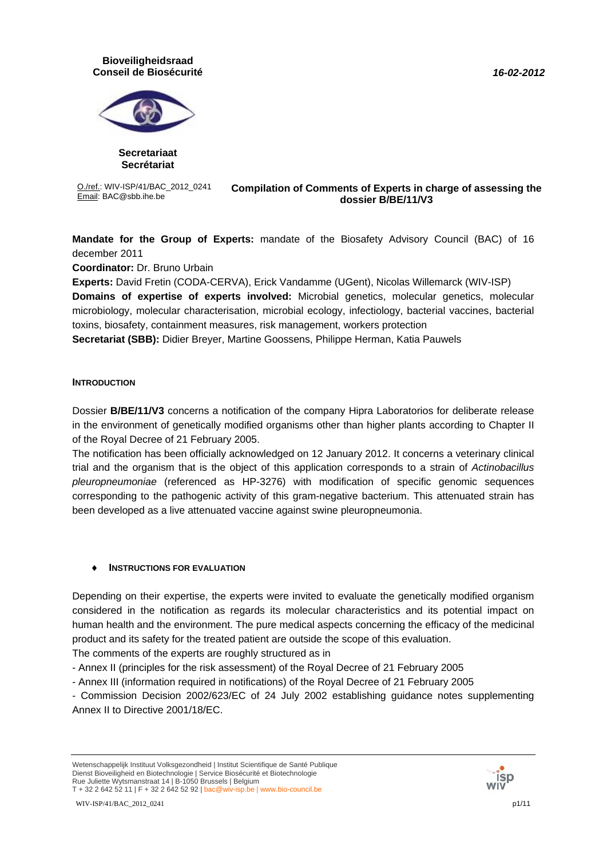#### *16-02-2012*

#### **Bioveiligheidsraad Conseil de Biosécurité**



**Secretariaat Secrétariat**

O./ref.: WIV-ISP/41/BAC\_2012\_0241

#### O./ref.: WIV-ISP/41/BAC\_2012\_0241 **Compilation of Comments of Experts in charge of assessing the**<br>**Compilation of Comments of Experiation charge of assessing the**<br>**Compilation of Comments of Experiation charge of assessing dossier B/BE/11/V3**

**Mandate for the Group of Experts:** mandate of the Biosafety Advisory Council (BAC) of 16 december 2011

**Coordinator:** Dr. Bruno Urbain

**Experts:** David Fretin (CODA-CERVA), Erick Vandamme (UGent), Nicolas Willemarck (WIV-ISP) **Domains of expertise of experts involved:** Microbial genetics, molecular genetics, molecular microbiology, molecular characterisation, microbial ecology, infectiology, bacterial vaccines, bacterial toxins, biosafety, containment measures, risk management, workers protection

**Secretariat (SBB):** Didier Breyer, Martine Goossens, Philippe Herman, Katia Pauwels

## **INTRODUCTION**

Dossier **B/BE/11/V3** concerns a notification of the company Hipra Laboratorios for deliberate release in the environment of genetically modified organisms other than higher plants according to Chapter II of the Royal Decree of 21 February 2005.

The notification has been officially acknowledged on 12 January 2012. It concerns a veterinary clinical trial and the organism that is the object of this application corresponds to a strain of *Actinobacillus pleuropneumoniae* (referenced as HP-3276) with modification of specific genomic sequences corresponding to the pathogenic activity of this gram-negative bacterium. This attenuated strain has been developed as a live attenuated vaccine against swine pleuropneumonia.

## **INSTRUCTIONS FOR EVALUATION**

Depending on their expertise, the experts were invited to evaluate the genetically modified organism considered in the notification as regards its molecular characteristics and its potential impact on human health and the environment. The pure medical aspects concerning the efficacy of the medicinal product and its safety for the treated patient are outside the scope of this evaluation.

The comments of the experts are roughly structured as in

- Annex II (principles for the risk assessment) of the Royal Decree of 21 February 2005

- Annex III (information required in notifications) of the Royal Decree of 21 February 2005

- Commission Decision 2002/623/EC of 24 July 2002 establishing guidance notes supplementing Annex II to Directive 2001/18/EC.



Wetenschappelijk Instituut Volksgezondheid | Institut Scientifique de Santé Publique Dienst Bioveiligheid en Biotechnologie | Service Biosécurité et Biotechnologie Rue Juliette Wytsmanstraat 14 | B-1050 Brussels | Belgium T + 32 2 642 52 11 | F + 32 2 642 52 92 | bac@wiv-isp.be | www.bio-council.be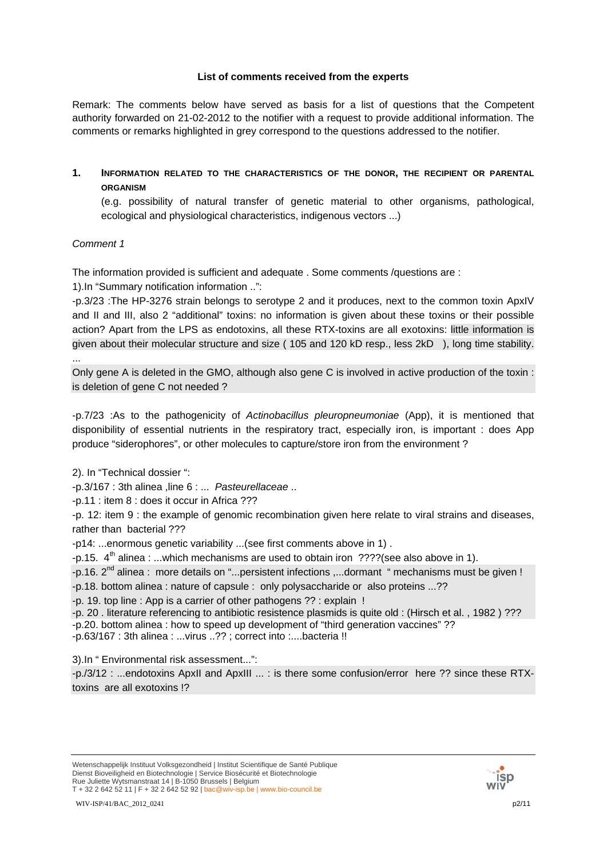## **List of comments received from the experts**

Remark: The comments below have served as basis for a list of questions that the Competent authority forwarded on 21-02-2012 to the notifier with a request to provide additional information. The comments or remarks highlighted in grey correspond to the questions addressed to the notifier.

## **1. INFORMATION RELATED TO THE CHARACTERISTICS OF THE DONOR, THE RECIPIENT OR PARENTAL ORGANISM**

(e.g. possibility of natural transfer of genetic material to other organisms, pathological, ecological and physiological characteristics, indigenous vectors ...)

# *Comment 1*

...

The information provided is sufficient and adequate . Some comments /questions are :

1).In "Summary notification information ..":

-p.3/23 :The HP-3276 strain belongs to serotype 2 and it produces, next to the common toxin ApxIV and II and III, also 2 "additional" toxins: no information is given about these toxins or their possible action? Apart from the LPS as endotoxins, all these RTX-toxins are all exotoxins: little information is given about their molecular structure and size ( 105 and 120 kD resp., less 2kD ), long time stability.

Only gene A is deleted in the GMO, although also gene C is involved in active production of the toxin : is deletion of gene C not needed ?

-p.7/23 :As to the pathogenicity of *Actinobacillus pleuropneumoniae* (App), it is mentioned that disponibility of essential nutrients in the respiratory tract, especially iron, is important : does App produce "siderophores", or other molecules to capture/store iron from the environment ?

2). In "Technical dossier ":

-p.3/167 : 3th alinea ,line 6 : ... *Pasteurellaceae* ..

-p.11 : item 8 : does it occur in Africa ???

-p. 12: item 9 : the example of genomic recombination given here relate to viral strains and diseases, rather than bacterial ???

-p14: ...enormous genetic variability ...(see first comments above in 1) .

-p.15.  $4<sup>th</sup>$  alinea : ...which mechanisms are used to obtain iron ????(see also above in 1).

-p.16. 2<sup>nd</sup> alinea : more details on "...persistent infections ,...dormant " mechanisms must be given ! -p.18. bottom alinea : nature of capsule : only polysaccharide or also proteins ...??

-p. 19. top line : App is a carrier of other pathogens ?? : explain !

-p. 20 . literature referencing to antibiotic resistence plasmids is quite old : (Hirsch et al. , 1982 ) ??? -p.20. bottom alinea : how to speed up development of "third generation vaccines" ?? -p.63/167 : 3th alinea : ...virus ..?? ; correct into :....bacteria !!

3).In " Environmental risk assessment...":

-p./3/12 : ...endotoxins ApxII and ApxIII ... : is there some confusion/error here ?? since these RTXtoxins are all exotoxins !?



Wetenschappelijk Instituut Volksgezondheid | Institut Scientifique de Santé Publique Dienst Bioveiligheid en Biotechnologie | Service Biosécurité et Biotechnologie Rue Juliette Wytsmanstraat 14 | B-1050 Brussels | Belgium T + 32 2 642 52 11 | F + 32 2 642 52 92 | bac@wiv-isp.be | www.bio-council.be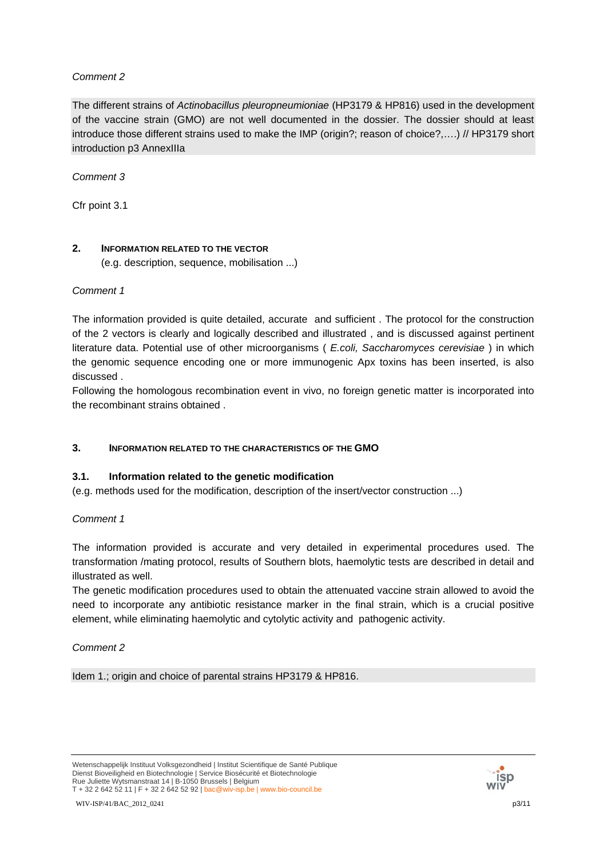## *Comment 2*

The different strains of *Actinobacillus pleuropneumioniae* (HP3179 & HP816) used in the development of the vaccine strain (GMO) are not well documented in the dossier. The dossier should at least introduce those different strains used to make the IMP (origin?; reason of choice?,….) // HP3179 short introduction p3 AnnexIIIa

*Comment 3*

Cfr point 3.1

## **2. INFORMATION RELATED TO THE VECTOR**

(e.g. description, sequence, mobilisation ...)

*Comment 1*

The information provided is quite detailed, accurate and sufficient . The protocol for the construction of the 2 vectors is clearly and logically described and illustrated , and is discussed against pertinent literature data. Potential use of other microorganisms ( *E.coli, Saccharomyces cerevisiae* ) in which the genomic sequence encoding one or more immunogenic Apx toxins has been inserted, is also discussed .

Following the homologous recombination event in vivo, no foreign genetic matter is incorporated into the recombinant strains obtained .

## **3. INFORMATION RELATED TO THE CHARACTERISTICS OF THE GMO**

## **3.1. Information related to the genetic modification**

(e.g. methods used for the modification, description of the insert/vector construction ...)

## *Comment 1*

The information provided is accurate and very detailed in experimental procedures used. The transformation /mating protocol, results of Southern blots, haemolytic tests are described in detail and illustrated as well.

The genetic modification procedures used to obtain the attenuated vaccine strain allowed to avoid the need to incorporate any antibiotic resistance marker in the final strain, which is a crucial positive element, while eliminating haemolytic and cytolytic activity and pathogenic activity.

## *Comment 2*

Idem 1.; origin and choice of parental strains HP3179 & HP816.

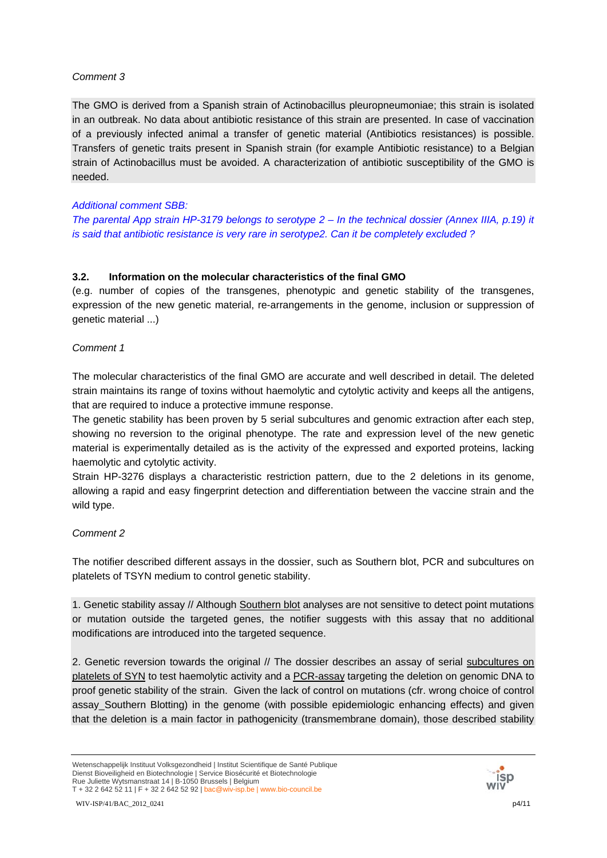## *Comment 3*

The GMO is derived from a Spanish strain of Actinobacillus pleuropneumoniae; this strain is isolated in an outbreak. No data about antibiotic resistance of this strain are presented. In case of vaccination of a previously infected animal a transfer of genetic material (Antibiotics resistances) is possible. Transfers of genetic traits present in Spanish strain (for example Antibiotic resistance) to a Belgian strain of Actinobacillus must be avoided. A characterization of antibiotic susceptibility of the GMO is needed.

## *Additional comment SBB:*

*The parental App strain HP-3179 belongs to serotype 2 – In the technical dossier (Annex IIIA, p.19) it is said that antibiotic resistance is very rare in serotype2. Can it be completely excluded ?* 

## **3.2. Information on the molecular characteristics of the final GMO**

(e.g. number of copies of the transgenes, phenotypic and genetic stability of the transgenes, expression of the new genetic material, re-arrangements in the genome, inclusion or suppression of genetic material ...)

## *Comment 1*

The molecular characteristics of the final GMO are accurate and well described in detail. The deleted strain maintains its range of toxins without haemolytic and cytolytic activity and keeps all the antigens, that are required to induce a protective immune response.

The genetic stability has been proven by 5 serial subcultures and genomic extraction after each step, showing no reversion to the original phenotype. The rate and expression level of the new genetic material is experimentally detailed as is the activity of the expressed and exported proteins, lacking haemolytic and cytolytic activity.

Strain HP-3276 displays a characteristic restriction pattern, due to the 2 deletions in its genome, allowing a rapid and easy fingerprint detection and differentiation between the vaccine strain and the wild type.

## *Comment 2*

The notifier described different assays in the dossier, such as Southern blot, PCR and subcultures on platelets of TSYN medium to control genetic stability.

1. Genetic stability assay // Although Southern blot analyses are not sensitive to detect point mutations or mutation outside the targeted genes, the notifier suggests with this assay that no additional modifications are introduced into the targeted sequence.

2. Genetic reversion towards the original // The dossier describes an assay of serial subcultures on platelets of SYN to test haemolytic activity and a PCR-assay targeting the deletion on genomic DNA to proof genetic stability of the strain. Given the lack of control on mutations (cfr. wrong choice of control assay\_Southern Blotting) in the genome (with possible epidemiologic enhancing effects) and given that the deletion is a main factor in pathogenicity (transmembrane domain), those described stability



Wetenschappelijk Instituut Volksgezondheid | Institut Scientifique de Santé Publique Dienst Bioveiligheid en Biotechnologie | Service Biosécurité et Biotechnologie Rue Juliette Wytsmanstraat 14 | B-1050 Brussels | Belgium T + 32 2 642 52 11 | F + 32 2 642 52 92 | bac@wiv-isp.be | www.bio-council.be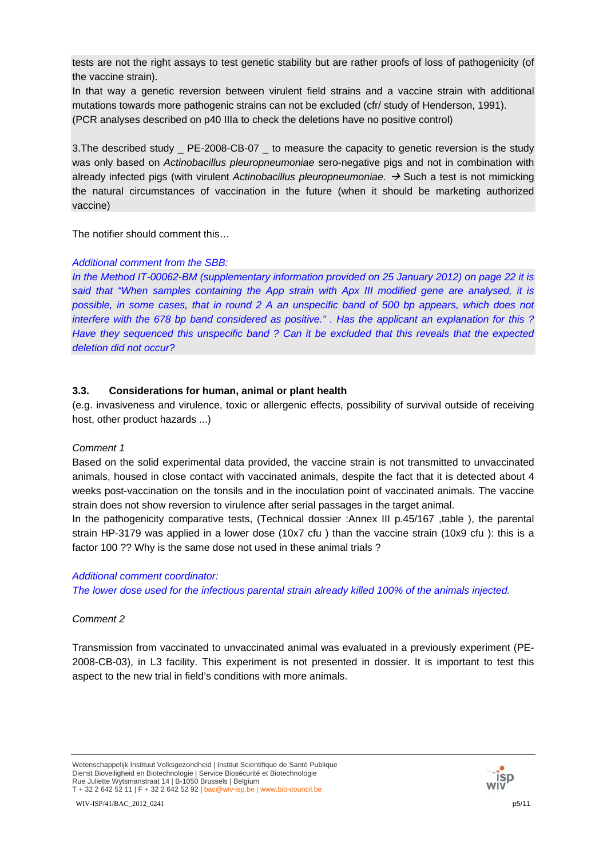tests are not the right assays to test genetic stability but are rather proofs of loss of pathogenicity (of the vaccine strain).

In that way a genetic reversion between virulent field strains and a vaccine strain with additional mutations towards more pathogenic strains can not be excluded (cfr/ study of Henderson, 1991). (PCR analyses described on p40 IIIa to check the deletions have no positive control)

3.The described study \_ PE-2008-CB-07 \_ to measure the capacity to genetic reversion is the study was only based on *Actinobacillus pleuropneumoniae* sero-negative pigs and not in combination with already infected pigs (with virulent *Actinobacillus pleuropneumoniae.* → Such a test is not mimicking the natural circumstances of vaccination in the future (when it should be marketing authorized vaccine)

The notifier should comment this…

## *Additional comment from the SBB:*

*In the Method IT-00062-BM (supplementary information provided on 25 January 2012) on page 22 it is said that "When samples containing the App strain with Apx III modified gene are analysed, it is possible, in some cases, that in round 2 A an unspecific band of 500 bp appears, which does not interfere with the 678 bp band considered as positive." . Has the applicant an explanation for this ? Have they sequenced this unspecific band ? Can it be excluded that this reveals that the expected deletion did not occur?* 

# **3.3. Considerations for human, animal or plant health**

(e.g. invasiveness and virulence, toxic or allergenic effects, possibility of survival outside of receiving host, other product hazards ...)

## *Comment 1*

Based on the solid experimental data provided, the vaccine strain is not transmitted to unvaccinated animals, housed in close contact with vaccinated animals, despite the fact that it is detected about 4 weeks post-vaccination on the tonsils and in the inoculation point of vaccinated animals. The vaccine strain does not show reversion to virulence after serial passages in the target animal.

In the pathogenicity comparative tests, (Technical dossier :Annex III p.45/167 ,table ), the parental strain HP-3179 was applied in a lower dose (10x7 cfu ) than the vaccine strain (10x9 cfu ): this is a factor 100 ?? Why is the same dose not used in these animal trials ?

## *Additional comment coordinator:*

*The lower dose used for the infectious parental strain already killed 100% of the animals injected.* 

## *Comment 2*

Transmission from vaccinated to unvaccinated animal was evaluated in a previously experiment (PE-2008-CB-03), in L3 facility. This experiment is not presented in dossier. It is important to test this aspect to the new trial in field's conditions with more animals.

Wetenschappelijk Instituut Volksgezondheid | Institut Scientifique de Santé Publique Dienst Bioveiligheid en Biotechnologie | Service Biosécurité et Biotechnologie Rue Juliette Wytsmanstraat 14 | B-1050 Brussels | Belgium T + 32 2 642 52 11 | F + 32 2 642 52 92 | bac@wiv-isp.be | www.bio-council.be

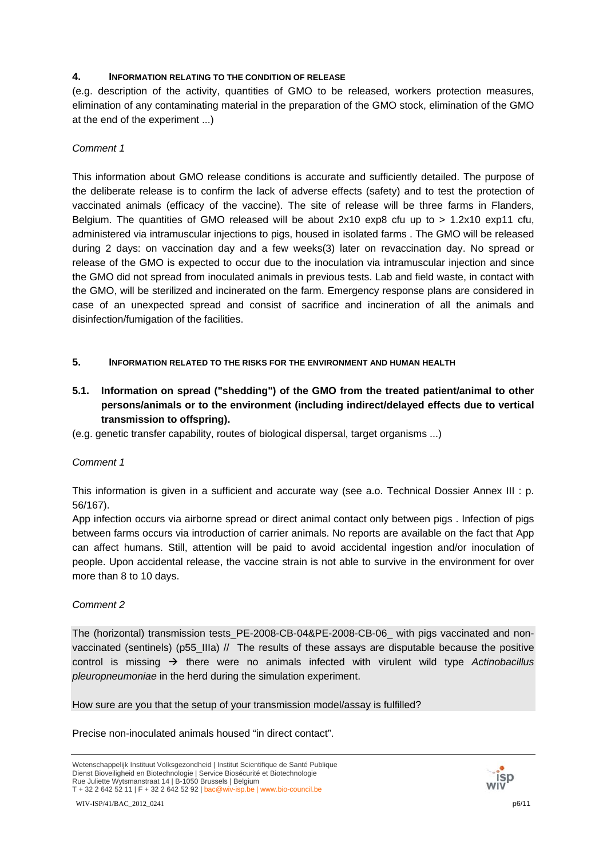## **4. INFORMATION RELATING TO THE CONDITION OF RELEASE**

(e.g. description of the activity, quantities of GMO to be released, workers protection measures, elimination of any contaminating material in the preparation of the GMO stock, elimination of the GMO at the end of the experiment ...)

## *Comment 1*

This information about GMO release conditions is accurate and sufficiently detailed. The purpose of the deliberate release is to confirm the lack of adverse effects (safety) and to test the protection of vaccinated animals (efficacy of the vaccine). The site of release will be three farms in Flanders, Belgium. The quantities of GMO released will be about 2x10 exp8 cfu up to > 1.2x10 exp11 cfu, administered via intramuscular injections to pigs, housed in isolated farms . The GMO will be released during 2 days: on vaccination day and a few weeks(3) later on revaccination day. No spread or release of the GMO is expected to occur due to the inoculation via intramuscular injection and since the GMO did not spread from inoculated animals in previous tests. Lab and field waste, in contact with the GMO, will be sterilized and incinerated on the farm. Emergency response plans are considered in case of an unexpected spread and consist of sacrifice and incineration of all the animals and disinfection/fumigation of the facilities.

## **5. INFORMATION RELATED TO THE RISKS FOR THE ENVIRONMENT AND HUMAN HEALTH**

- **5.1. Information on spread ("shedding") of the GMO from the treated patient/animal to other persons/animals or to the environment (including indirect/delayed effects due to vertical transmission to offspring).**
- (e.g. genetic transfer capability, routes of biological dispersal, target organisms ...)

# *Comment 1*

This information is given in a sufficient and accurate way (see a.o. Technical Dossier Annex III : p. 56/167).

App infection occurs via airborne spread or direct animal contact only between pigs . Infection of pigs between farms occurs via introduction of carrier animals. No reports are available on the fact that App can affect humans. Still, attention will be paid to avoid accidental ingestion and/or inoculation of people. Upon accidental release, the vaccine strain is not able to survive in the environment for over more than 8 to 10 days.

## *Comment 2*

The (horizontal) transmission tests PE-2008-CB-04&PE-2008-CB-06 with pigs vaccinated and nonvaccinated (sentinels) (p55 IIIa) // The results of these assays are disputable because the positive control is missing  $\rightarrow$  there were no animals infected with virulent wild type *Actinobacillus pleuropneumoniae* in the herd during the simulation experiment.

How sure are you that the setup of your transmission model/assay is fulfilled?

Precise non-inoculated animals housed "in direct contact".



Wetenschappelijk Instituut Volksgezondheid | Institut Scientifique de Santé Publique Dienst Bioveiligheid en Biotechnologie | Service Biosécurité et Biotechnologie Rue Juliette Wytsmanstraat 14 | B-1050 Brussels | Belgium T + 32 2 642 52 11 | F + 32 2 642 52 92 | bac@wiv-isp.be | www.bio-council.be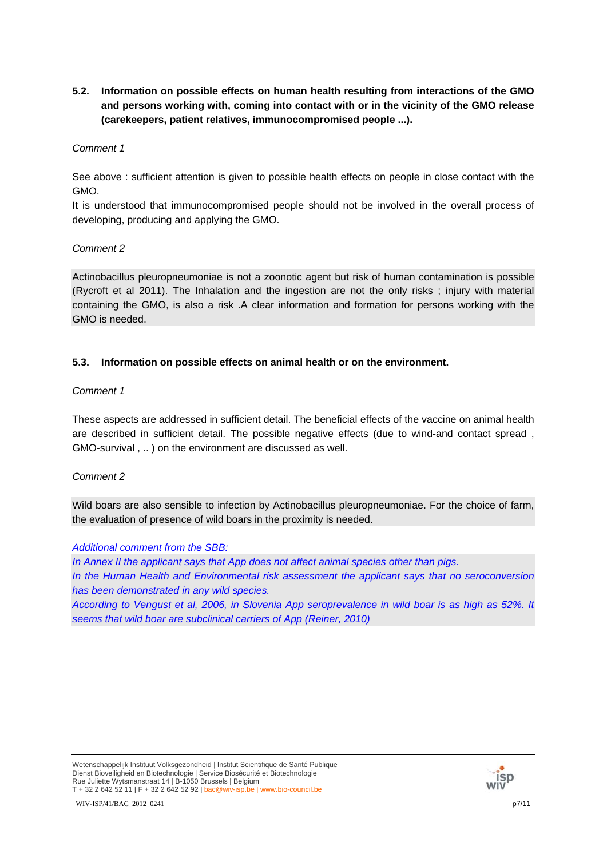**5.2. Information on possible effects on human health resulting from interactions of the GMO and persons working with, coming into contact with or in the vicinity of the GMO release (carekeepers, patient relatives, immunocompromised people ...).** 

#### *Comment 1*

See above : sufficient attention is given to possible health effects on people in close contact with the GMO.

It is understood that immunocompromised people should not be involved in the overall process of developing, producing and applying the GMO.

## *Comment 2*

Actinobacillus pleuropneumoniae is not a zoonotic agent but risk of human contamination is possible (Rycroft et al 2011). The Inhalation and the ingestion are not the only risks ; injury with material containing the GMO, is also a risk .A clear information and formation for persons working with the GMO is needed.

## **5.3. Information on possible effects on animal health or on the environment.**

#### *Comment 1*

These aspects are addressed in sufficient detail. The beneficial effects of the vaccine on animal health are described in sufficient detail. The possible negative effects (due to wind-and contact spread , GMO-survival , .. ) on the environment are discussed as well.

## *Comment 2*

Wild boars are also sensible to infection by Actinobacillus pleuropneumoniae. For the choice of farm, the evaluation of presence of wild boars in the proximity is needed.

#### *Additional comment from the SBB:*

*In Annex II the applicant says that App does not affect animal species other than pigs. In the Human Health and Environmental risk assessment the applicant says that no seroconversion has been demonstrated in any wild species.* 

*According to Vengust et al, 2006, in Slovenia App seroprevalence in wild boar is as high as 52%. It seems that wild boar are subclinical carriers of App (Reiner, 2010)* 

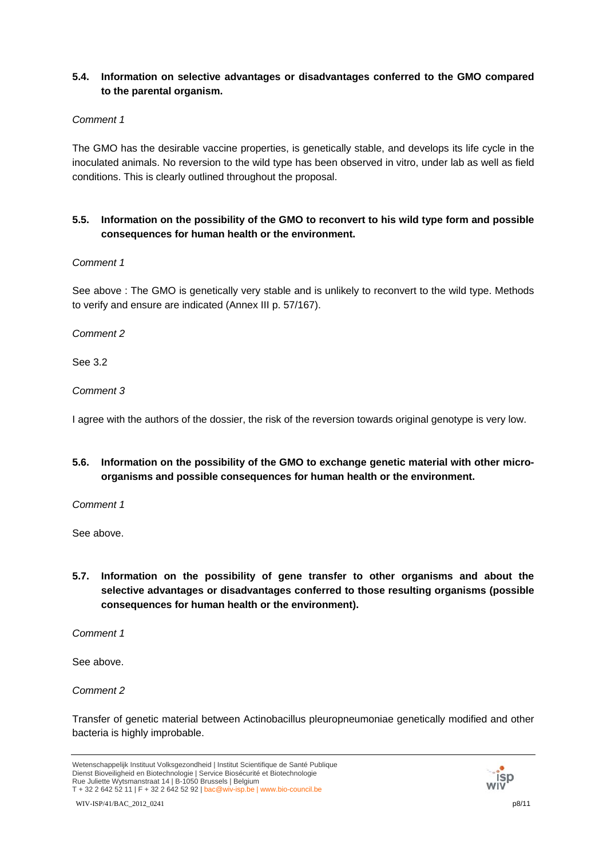# **5.4. Information on selective advantages or disadvantages conferred to the GMO compared to the parental organism.**

## *Comment 1*

The GMO has the desirable vaccine properties, is genetically stable, and develops its life cycle in the inoculated animals. No reversion to the wild type has been observed in vitro, under lab as well as field conditions. This is clearly outlined throughout the proposal.

# **5.5. Information on the possibility of the GMO to reconvert to his wild type form and possible consequences for human health or the environment.**

## *Comment 1*

See above : The GMO is genetically very stable and is unlikely to reconvert to the wild type. Methods to verify and ensure are indicated (Annex III p. 57/167).

*Comment 2*

See 3.2

*Comment 3*

I agree with the authors of the dossier, the risk of the reversion towards original genotype is very low.

**5.6. Information on the possibility of the GMO to exchange genetic material with other microorganisms and possible consequences for human health or the environment.** 

*Comment 1*

See above.

**5.7. Information on the possibility of gene transfer to other organisms and about the selective advantages or disadvantages conferred to those resulting organisms (possible consequences for human health or the environment).** 

*Comment 1*

See above.

*Comment 2*

Transfer of genetic material between Actinobacillus pleuropneumoniae genetically modified and other bacteria is highly improbable.

Wetenschappelijk Instituut Volksgezondheid | Institut Scientifique de Santé Publique Dienst Bioveiligheid en Biotechnologie | Service Biosécurité et Biotechnologie Rue Juliette Wytsmanstraat 14 | B-1050 Brussels | Belgium T + 32 2 642 52 11 | F + 32 2 642 52 92 | bac@wiv-isp.be | www.bio-council.be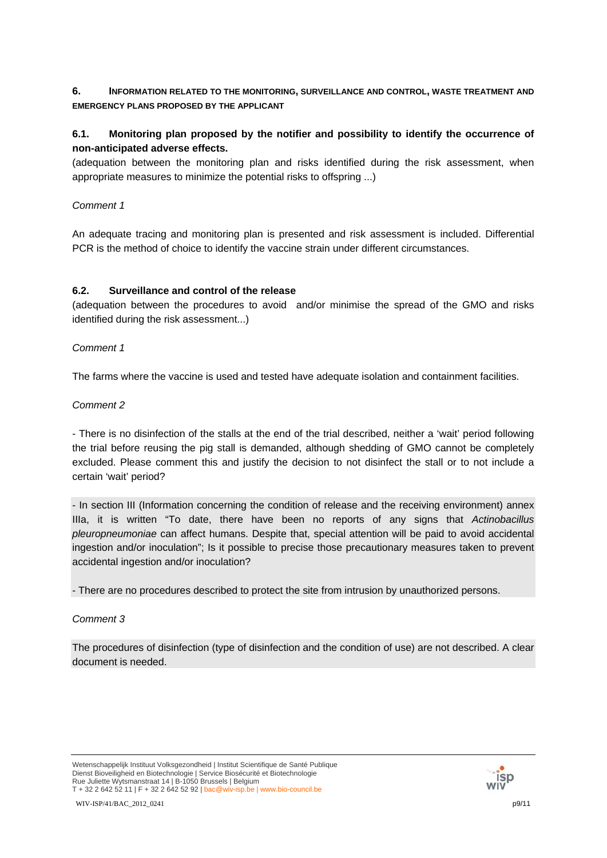# **6. INFORMATION RELATED TO THE MONITORING, SURVEILLANCE AND CONTROL, WASTE TREATMENT AND EMERGENCY PLANS PROPOSED BY THE APPLICANT**

# **6.1. Monitoring plan proposed by the notifier and possibility to identify the occurrence of non-anticipated adverse effects.**

(adequation between the monitoring plan and risks identified during the risk assessment, when appropriate measures to minimize the potential risks to offspring ...)

## *Comment 1*

An adequate tracing and monitoring plan is presented and risk assessment is included. Differential PCR is the method of choice to identify the vaccine strain under different circumstances.

## **6.2. Surveillance and control of the release**

(adequation between the procedures to avoid and/or minimise the spread of the GMO and risks identified during the risk assessment...)

## *Comment 1*

The farms where the vaccine is used and tested have adequate isolation and containment facilities.

## *Comment 2*

- There is no disinfection of the stalls at the end of the trial described, neither a 'wait' period following the trial before reusing the pig stall is demanded, although shedding of GMO cannot be completely excluded. Please comment this and justify the decision to not disinfect the stall or to not include a certain 'wait' period?

- In section III (Information concerning the condition of release and the receiving environment) annex IIIa, it is written "To date, there have been no reports of any signs that *Actinobacillus pleuropneumoniae* can affect humans. Despite that, special attention will be paid to avoid accidental ingestion and/or inoculation"; Is it possible to precise those precautionary measures taken to prevent accidental ingestion and/or inoculation?

- There are no procedures described to protect the site from intrusion by unauthorized persons.

# *Comment 3*

The procedures of disinfection (type of disinfection and the condition of use) are not described. A clear document is needed.

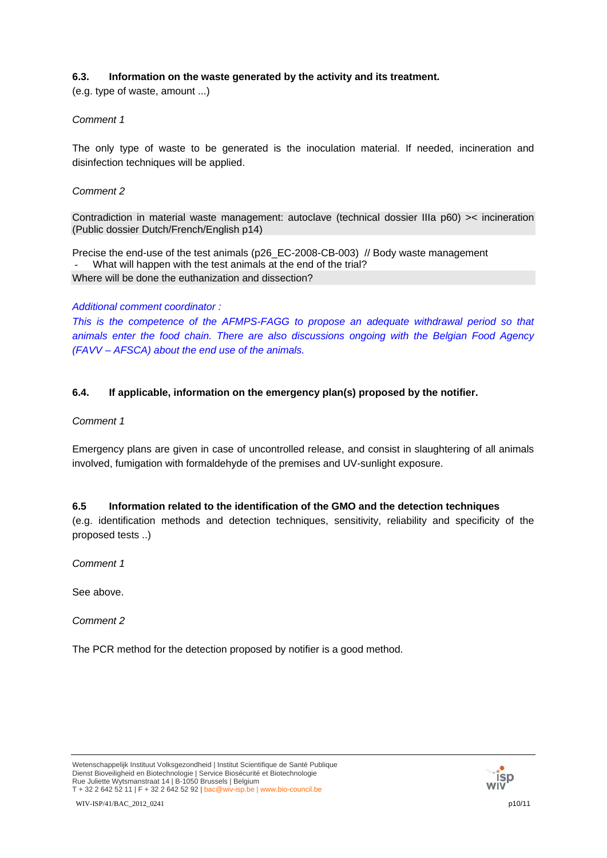# **6.3. Information on the waste generated by the activity and its treatment.**

(e.g. type of waste, amount ...)

# *Comment 1*

The only type of waste to be generated is the inoculation material. If needed, incineration and disinfection techniques will be applied.

## *Comment 2*

Contradiction in material waste management: autoclave (technical dossier IIIa p60) >< incineration (Public dossier Dutch/French/English p14)

Precise the end-use of the test animals (p26\_EC-2008-CB-003) // Body waste management What will happen with the test animals at the end of the trial? Where will be done the euthanization and dissection?

## *Additional comment coordinator :*

*This is the competence of the AFMPS-FAGG to propose an adequate withdrawal period so that animals enter the food chain. There are also discussions ongoing with the Belgian Food Agency (FAVV – AFSCA) about the end use of the animals.* 

## **6.4. If applicable, information on the emergency plan(s) proposed by the notifier.**

*Comment 1*

Emergency plans are given in case of uncontrolled release, and consist in slaughtering of all animals involved, fumigation with formaldehyde of the premises and UV-sunlight exposure.

## **6.5 Information related to the identification of the GMO and the detection techniques**

(e.g. identification methods and detection techniques, sensitivity, reliability and specificity of the proposed tests ..)

*Comment 1*

See above.

*Comment 2*

The PCR method for the detection proposed by notifier is a good method.